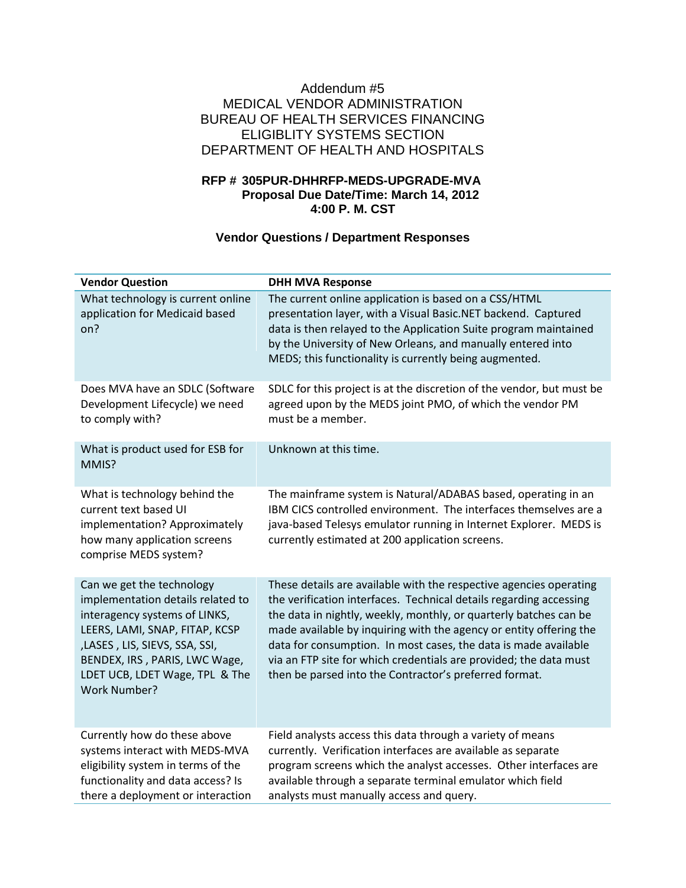## Addendum #5 MEDICAL VENDOR ADMINISTRATION BUREAU OF HEALTH SERVICES FINANCING ELIGIBLITY SYSTEMS SECTION DEPARTMENT OF HEALTH AND HOSPITALS

## **RFP # 305PUR-DHHRFP-MEDS-UPGRADE-MVA Proposal Due Date/Time: March 14, 2012 4:00 P. M. CST**

# **Vendor Questions / Department Responses**

| <b>Vendor Question</b>                                                                                                                                                                                                                                       | <b>DHH MVA Response</b>                                                                                                                                                                                                                                                                                                                                                                                                                                                               |
|--------------------------------------------------------------------------------------------------------------------------------------------------------------------------------------------------------------------------------------------------------------|---------------------------------------------------------------------------------------------------------------------------------------------------------------------------------------------------------------------------------------------------------------------------------------------------------------------------------------------------------------------------------------------------------------------------------------------------------------------------------------|
| What technology is current online<br>application for Medicaid based<br>on?                                                                                                                                                                                   | The current online application is based on a CSS/HTML<br>presentation layer, with a Visual Basic.NET backend. Captured<br>data is then relayed to the Application Suite program maintained<br>by the University of New Orleans, and manually entered into<br>MEDS; this functionality is currently being augmented.                                                                                                                                                                   |
| Does MVA have an SDLC (Software<br>Development Lifecycle) we need<br>to comply with?                                                                                                                                                                         | SDLC for this project is at the discretion of the vendor, but must be<br>agreed upon by the MEDS joint PMO, of which the vendor PM<br>must be a member.                                                                                                                                                                                                                                                                                                                               |
| What is product used for ESB for<br>MMIS?                                                                                                                                                                                                                    | Unknown at this time.                                                                                                                                                                                                                                                                                                                                                                                                                                                                 |
| What is technology behind the<br>current text based UI<br>implementation? Approximately<br>how many application screens<br>comprise MEDS system?                                                                                                             | The mainframe system is Natural/ADABAS based, operating in an<br>IBM CICS controlled environment. The interfaces themselves are a<br>java-based Telesys emulator running in Internet Explorer. MEDS is<br>currently estimated at 200 application screens.                                                                                                                                                                                                                             |
| Can we get the technology<br>implementation details related to<br>interagency systems of LINKS,<br>LEERS, LAMI, SNAP, FITAP, KCSP<br>,LASES, LIS, SIEVS, SSA, SSI,<br>BENDEX, IRS, PARIS, LWC Wage,<br>LDET UCB, LDET Wage, TPL & The<br><b>Work Number?</b> | These details are available with the respective agencies operating<br>the verification interfaces. Technical details regarding accessing<br>the data in nightly, weekly, monthly, or quarterly batches can be<br>made available by inquiring with the agency or entity offering the<br>data for consumption. In most cases, the data is made available<br>via an FTP site for which credentials are provided; the data must<br>then be parsed into the Contractor's preferred format. |
| Currently how do these above<br>systems interact with MEDS-MVA<br>eligibility system in terms of the<br>functionality and data access? Is<br>there a deployment or interaction                                                                               | Field analysts access this data through a variety of means<br>currently. Verification interfaces are available as separate<br>program screens which the analyst accesses. Other interfaces are<br>available through a separate terminal emulator which field<br>analysts must manually access and query.                                                                                                                                                                              |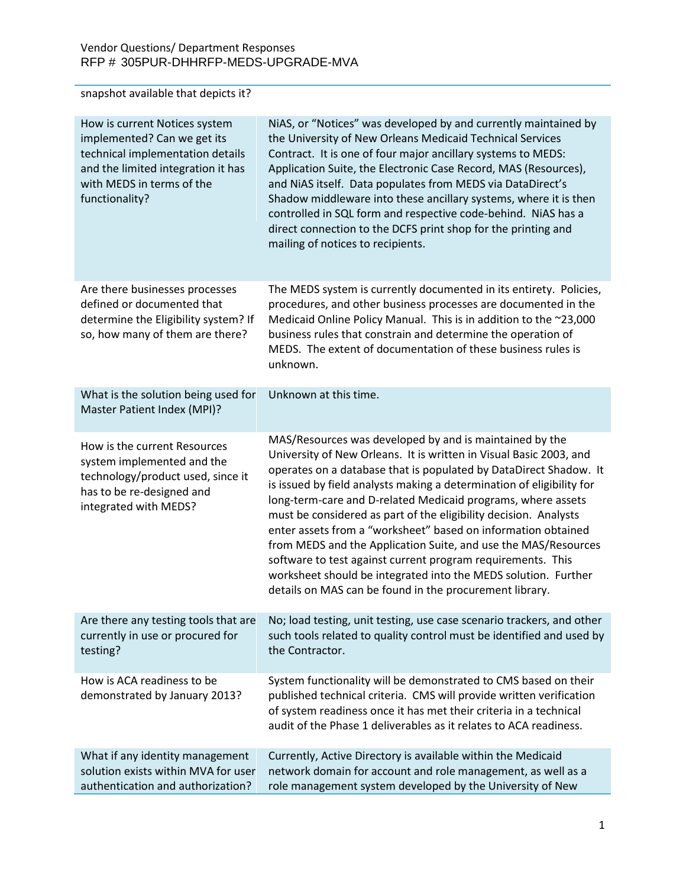snapshot available that depicts it?

| How is current Notices system<br>implemented? Can we get its<br>technical implementation details<br>and the limited integration it has<br>with MEDS in terms of the<br>functionality? | NiAS, or "Notices" was developed by and currently maintained by<br>the University of New Orleans Medicaid Technical Services<br>Contract. It is one of four major ancillary systems to MEDS:<br>Application Suite, the Electronic Case Record, MAS (Resources),<br>and NiAS itself. Data populates from MEDS via DataDirect's<br>Shadow middleware into these ancillary systems, where it is then<br>controlled in SQL form and respective code-behind. NiAS has a<br>direct connection to the DCFS print shop for the printing and<br>mailing of notices to recipients.                                                                                                                                                                       |
|---------------------------------------------------------------------------------------------------------------------------------------------------------------------------------------|------------------------------------------------------------------------------------------------------------------------------------------------------------------------------------------------------------------------------------------------------------------------------------------------------------------------------------------------------------------------------------------------------------------------------------------------------------------------------------------------------------------------------------------------------------------------------------------------------------------------------------------------------------------------------------------------------------------------------------------------|
| Are there businesses processes<br>defined or documented that<br>determine the Eligibility system? If<br>so, how many of them are there?                                               | The MEDS system is currently documented in its entirety. Policies,<br>procedures, and other business processes are documented in the<br>Medicaid Online Policy Manual. This is in addition to the ~23,000<br>business rules that constrain and determine the operation of<br>MEDS. The extent of documentation of these business rules is<br>unknown.                                                                                                                                                                                                                                                                                                                                                                                          |
| What is the solution being used for<br>Master Patient Index (MPI)?                                                                                                                    | Unknown at this time.                                                                                                                                                                                                                                                                                                                                                                                                                                                                                                                                                                                                                                                                                                                          |
| How is the current Resources<br>system implemented and the<br>technology/product used, since it<br>has to be re-designed and<br>integrated with MEDS?                                 | MAS/Resources was developed by and is maintained by the<br>University of New Orleans. It is written in Visual Basic 2003, and<br>operates on a database that is populated by DataDirect Shadow. It<br>is issued by field analysts making a determination of eligibility for<br>long-term-care and D-related Medicaid programs, where assets<br>must be considered as part of the eligibility decision. Analysts<br>enter assets from a "worksheet" based on information obtained<br>from MEDS and the Application Suite, and use the MAS/Resources<br>software to test against current program requirements. This<br>worksheet should be integrated into the MEDS solution. Further<br>details on MAS can be found in the procurement library. |
| Are there any testing tools that are<br>currently in use or procured for<br>testing?                                                                                                  | No; load testing, unit testing, use case scenario trackers, and other<br>such tools related to quality control must be identified and used by<br>the Contractor.                                                                                                                                                                                                                                                                                                                                                                                                                                                                                                                                                                               |
| How is ACA readiness to be<br>demonstrated by January 2013?                                                                                                                           | System functionality will be demonstrated to CMS based on their<br>published technical criteria. CMS will provide written verification<br>of system readiness once it has met their criteria in a technical<br>audit of the Phase 1 deliverables as it relates to ACA readiness.                                                                                                                                                                                                                                                                                                                                                                                                                                                               |
| What if any identity management<br>solution exists within MVA for user<br>authentication and authorization?                                                                           | Currently, Active Directory is available within the Medicaid<br>network domain for account and role management, as well as a<br>role management system developed by the University of New                                                                                                                                                                                                                                                                                                                                                                                                                                                                                                                                                      |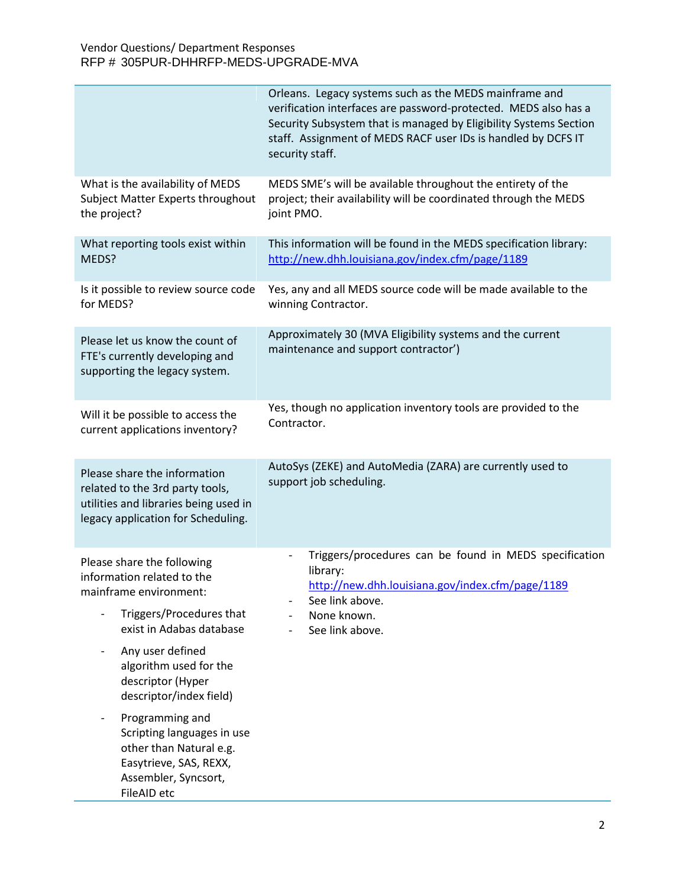|                                                                                                                                                | Orleans. Legacy systems such as the MEDS mainframe and<br>verification interfaces are password-protected. MEDS also has a<br>Security Subsystem that is managed by Eligibility Systems Section<br>staff. Assignment of MEDS RACF user IDs is handled by DCFS IT<br>security staff. |
|------------------------------------------------------------------------------------------------------------------------------------------------|------------------------------------------------------------------------------------------------------------------------------------------------------------------------------------------------------------------------------------------------------------------------------------|
| What is the availability of MEDS<br>Subject Matter Experts throughout<br>the project?                                                          | MEDS SME's will be available throughout the entirety of the<br>project; their availability will be coordinated through the MEDS<br>joint PMO.                                                                                                                                      |
| What reporting tools exist within<br>MEDS?                                                                                                     | This information will be found in the MEDS specification library:<br>http://new.dhh.louisiana.gov/index.cfm/page/1189                                                                                                                                                              |
| Is it possible to review source code<br>for MEDS?                                                                                              | Yes, any and all MEDS source code will be made available to the<br>winning Contractor.                                                                                                                                                                                             |
| Please let us know the count of<br>FTE's currently developing and<br>supporting the legacy system.                                             | Approximately 30 (MVA Eligibility systems and the current<br>maintenance and support contractor')                                                                                                                                                                                  |
| Will it be possible to access the<br>current applications inventory?                                                                           | Yes, though no application inventory tools are provided to the<br>Contractor.                                                                                                                                                                                                      |
| Please share the information<br>related to the 3rd party tools,<br>utilities and libraries being used in<br>legacy application for Scheduling. | AutoSys (ZEKE) and AutoMedia (ZARA) are currently used to<br>support job scheduling.                                                                                                                                                                                               |
| Please share the following<br>information related to the<br>mainframe environment:<br>Triggers/Procedures that<br>exist in Adabas database     | Triggers/procedures can be found in MEDS specification<br>library:<br>http://new.dhh.louisiana.gov/index.cfm/page/1189<br>See link above.<br>None known.<br>See link above.                                                                                                        |
| Any user defined<br>$\overline{\phantom{a}}$<br>algorithm used for the<br>descriptor (Hyper<br>descriptor/index field)                         |                                                                                                                                                                                                                                                                                    |
| Programming and<br>Scripting languages in use<br>other than Natural e.g.<br>Easytrieve, SAS, REXX,<br>Assembler, Syncsort,<br>FileAID etc      |                                                                                                                                                                                                                                                                                    |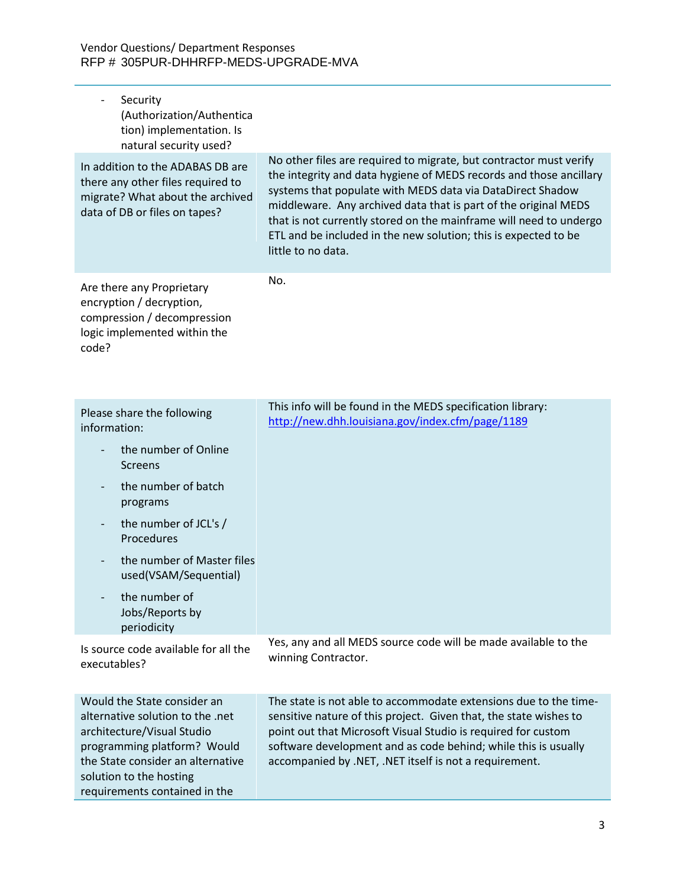| Security<br>(Authorization/Authentica<br>tion) implementation. Is<br>natural security used?                                                                                                                                   |                                                                                                                                                                                                                                                                                                                                                                                                                                          |
|-------------------------------------------------------------------------------------------------------------------------------------------------------------------------------------------------------------------------------|------------------------------------------------------------------------------------------------------------------------------------------------------------------------------------------------------------------------------------------------------------------------------------------------------------------------------------------------------------------------------------------------------------------------------------------|
| In addition to the ADABAS DB are<br>there any other files required to<br>migrate? What about the archived<br>data of DB or files on tapes?                                                                                    | No other files are required to migrate, but contractor must verify<br>the integrity and data hygiene of MEDS records and those ancillary<br>systems that populate with MEDS data via DataDirect Shadow<br>middleware. Any archived data that is part of the original MEDS<br>that is not currently stored on the mainframe will need to undergo<br>ETL and be included in the new solution; this is expected to be<br>little to no data. |
| Are there any Proprietary<br>encryption / decryption,<br>compression / decompression<br>logic implemented within the<br>code?                                                                                                 | No.                                                                                                                                                                                                                                                                                                                                                                                                                                      |
| Please share the following<br>information:<br>the number of Online<br><b>Screens</b><br>the number of batch<br>programs                                                                                                       | This info will be found in the MEDS specification library:<br>http://new.dhh.louisiana.gov/index.cfm/page/1189                                                                                                                                                                                                                                                                                                                           |
| the number of JCL's /<br>Procedures<br>the number of Master files<br>used(VSAM/Sequential)<br>the number of                                                                                                                   |                                                                                                                                                                                                                                                                                                                                                                                                                                          |
| Jobs/Reports by<br>periodicity                                                                                                                                                                                                | Yes, any and all MEDS source code will be made available to the                                                                                                                                                                                                                                                                                                                                                                          |
| Is source code available for all the<br>executables?                                                                                                                                                                          | winning Contractor.                                                                                                                                                                                                                                                                                                                                                                                                                      |
| Would the State consider an<br>alternative solution to the .net<br>architecture/Visual Studio<br>programming platform? Would<br>the State consider an alternative<br>solution to the hosting<br>requirements contained in the | The state is not able to accommodate extensions due to the time-<br>sensitive nature of this project. Given that, the state wishes to<br>point out that Microsoft Visual Studio is required for custom<br>software development and as code behind; while this is usually<br>accompanied by .NET, .NET itself is not a requirement.                                                                                                       |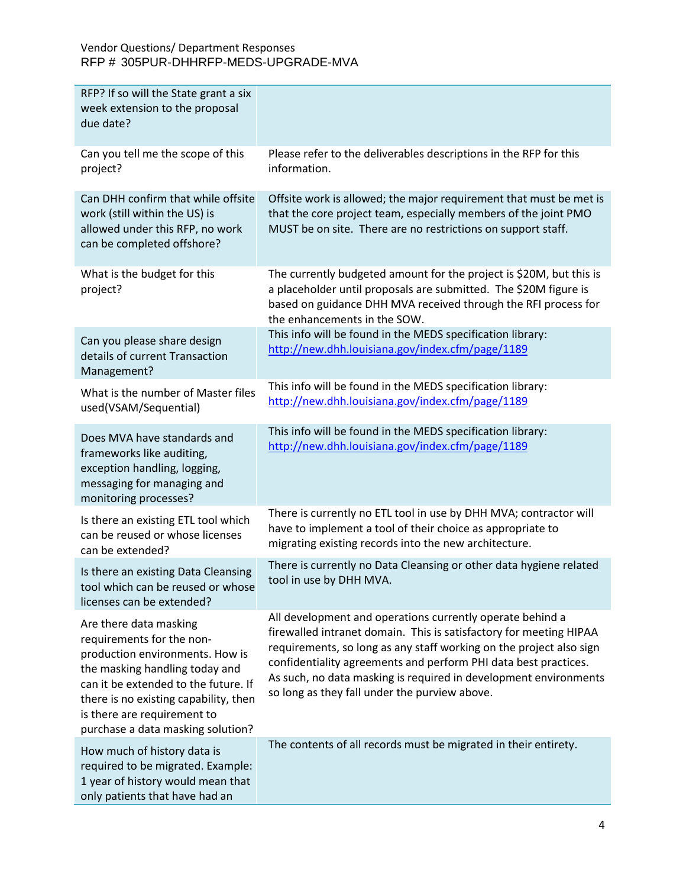| RFP? If so will the State grant a six<br>week extension to the proposal<br>due date?                                                                                                                                                                                          |                                                                                                                                                                                                                                                                                                                                                                                                |
|-------------------------------------------------------------------------------------------------------------------------------------------------------------------------------------------------------------------------------------------------------------------------------|------------------------------------------------------------------------------------------------------------------------------------------------------------------------------------------------------------------------------------------------------------------------------------------------------------------------------------------------------------------------------------------------|
| Can you tell me the scope of this<br>project?                                                                                                                                                                                                                                 | Please refer to the deliverables descriptions in the RFP for this<br>information.                                                                                                                                                                                                                                                                                                              |
| Can DHH confirm that while offsite<br>work (still within the US) is<br>allowed under this RFP, no work<br>can be completed offshore?                                                                                                                                          | Offsite work is allowed; the major requirement that must be met is<br>that the core project team, especially members of the joint PMO<br>MUST be on site. There are no restrictions on support staff.                                                                                                                                                                                          |
| What is the budget for this<br>project?                                                                                                                                                                                                                                       | The currently budgeted amount for the project is \$20M, but this is<br>a placeholder until proposals are submitted. The \$20M figure is<br>based on guidance DHH MVA received through the RFI process for<br>the enhancements in the SOW.                                                                                                                                                      |
| Can you please share design<br>details of current Transaction<br>Management?                                                                                                                                                                                                  | This info will be found in the MEDS specification library:<br>http://new.dhh.louisiana.gov/index.cfm/page/1189                                                                                                                                                                                                                                                                                 |
| What is the number of Master files<br>used(VSAM/Sequential)                                                                                                                                                                                                                   | This info will be found in the MEDS specification library:<br>http://new.dhh.louisiana.gov/index.cfm/page/1189                                                                                                                                                                                                                                                                                 |
| Does MVA have standards and<br>frameworks like auditing,<br>exception handling, logging,<br>messaging for managing and<br>monitoring processes?                                                                                                                               | This info will be found in the MEDS specification library:<br>http://new.dhh.louisiana.gov/index.cfm/page/1189                                                                                                                                                                                                                                                                                 |
| Is there an existing ETL tool which<br>can be reused or whose licenses<br>can be extended?                                                                                                                                                                                    | There is currently no ETL tool in use by DHH MVA; contractor will<br>have to implement a tool of their choice as appropriate to<br>migrating existing records into the new architecture.                                                                                                                                                                                                       |
| Is there an existing Data Cleansing<br>tool which can be reused or whose<br>licenses can be extended?                                                                                                                                                                         | There is currently no Data Cleansing or other data hygiene related<br>tool in use by DHH MVA.                                                                                                                                                                                                                                                                                                  |
| Are there data masking<br>requirements for the non-<br>production environments. How is<br>the masking handling today and<br>can it be extended to the future. If<br>there is no existing capability, then<br>is there are requirement to<br>purchase a data masking solution? | All development and operations currently operate behind a<br>firewalled intranet domain. This is satisfactory for meeting HIPAA<br>requirements, so long as any staff working on the project also sign<br>confidentiality agreements and perform PHI data best practices.<br>As such, no data masking is required in development environments<br>so long as they fall under the purview above. |
| How much of history data is<br>required to be migrated. Example:<br>1 year of history would mean that<br>only patients that have had an                                                                                                                                       | The contents of all records must be migrated in their entirety.                                                                                                                                                                                                                                                                                                                                |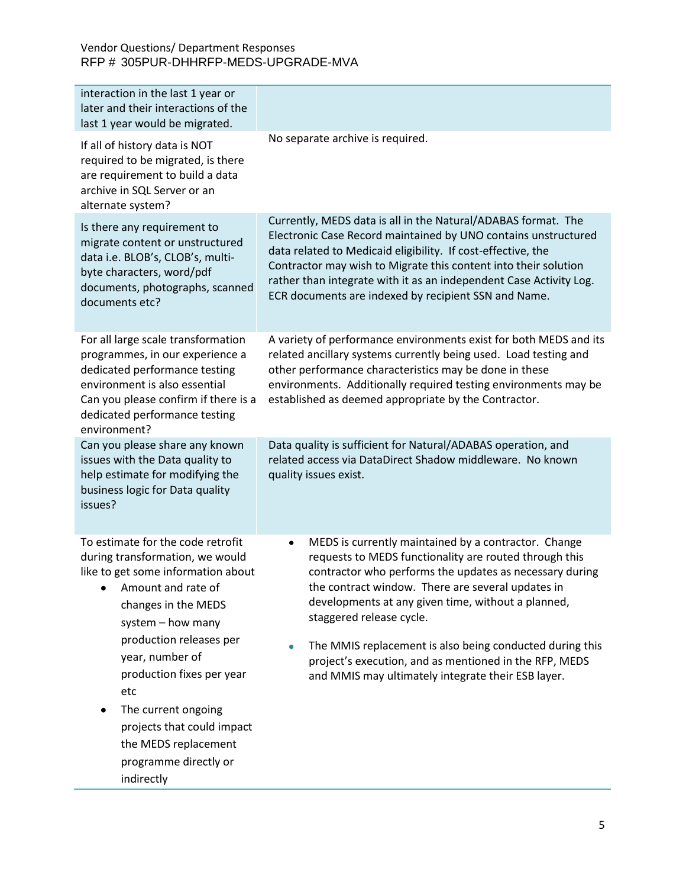| interaction in the last 1 year or<br>later and their interactions of the<br>last 1 year would be migrated.                                                                                                                                                                                                                                                                                |                                                                                                                                                                                                                                                                                                                                                                                                                                                                                                   |
|-------------------------------------------------------------------------------------------------------------------------------------------------------------------------------------------------------------------------------------------------------------------------------------------------------------------------------------------------------------------------------------------|---------------------------------------------------------------------------------------------------------------------------------------------------------------------------------------------------------------------------------------------------------------------------------------------------------------------------------------------------------------------------------------------------------------------------------------------------------------------------------------------------|
| If all of history data is NOT<br>required to be migrated, is there<br>are requirement to build a data<br>archive in SQL Server or an<br>alternate system?                                                                                                                                                                                                                                 | No separate archive is required.                                                                                                                                                                                                                                                                                                                                                                                                                                                                  |
| Is there any requirement to<br>migrate content or unstructured<br>data i.e. BLOB's, CLOB's, multi-<br>byte characters, word/pdf<br>documents, photographs, scanned<br>documents etc?                                                                                                                                                                                                      | Currently, MEDS data is all in the Natural/ADABAS format. The<br>Electronic Case Record maintained by UNO contains unstructured<br>data related to Medicaid eligibility. If cost-effective, the<br>Contractor may wish to Migrate this content into their solution<br>rather than integrate with it as an independent Case Activity Log.<br>ECR documents are indexed by recipient SSN and Name.                                                                                                  |
| For all large scale transformation<br>programmes, in our experience a<br>dedicated performance testing<br>environment is also essential<br>Can you please confirm if there is a<br>dedicated performance testing<br>environment?                                                                                                                                                          | A variety of performance environments exist for both MEDS and its<br>related ancillary systems currently being used. Load testing and<br>other performance characteristics may be done in these<br>environments. Additionally required testing environments may be<br>established as deemed appropriate by the Contractor.                                                                                                                                                                        |
| Can you please share any known<br>issues with the Data quality to<br>help estimate for modifying the<br>business logic for Data quality<br>issues?                                                                                                                                                                                                                                        | Data quality is sufficient for Natural/ADABAS operation, and<br>related access via DataDirect Shadow middleware. No known<br>quality issues exist.                                                                                                                                                                                                                                                                                                                                                |
| To estimate for the code retrofit<br>during transformation, we would<br>like to get some information about<br>• Amount and rate of<br>changes in the MEDS<br>system - how many<br>production releases per<br>year, number of<br>production fixes per year<br>etc<br>The current ongoing<br>٠<br>projects that could impact<br>the MEDS replacement<br>programme directly or<br>indirectly | MEDS is currently maintained by a contractor. Change<br>٠<br>requests to MEDS functionality are routed through this<br>contractor who performs the updates as necessary during<br>the contract window. There are several updates in<br>developments at any given time, without a planned,<br>staggered release cycle.<br>The MMIS replacement is also being conducted during this<br>project's execution, and as mentioned in the RFP, MEDS<br>and MMIS may ultimately integrate their ESB layer. |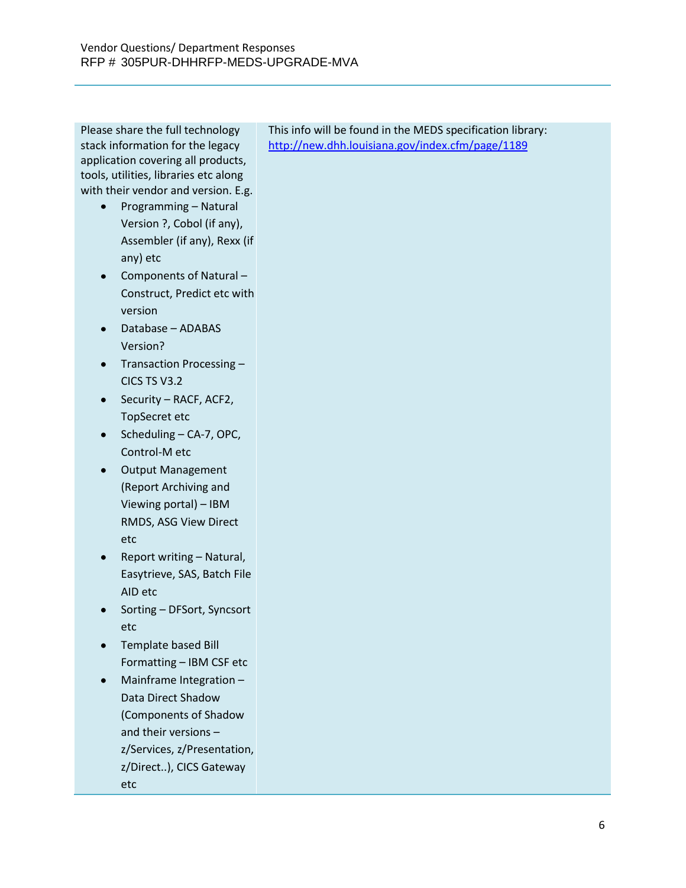Please share the full technology stack information for the legacy application covering all products, tools, utilities, libraries etc along with their vendor and version. E.g.

- Programming Natural  $\bullet$ Version ?, Cobol (if any), Assembler (if any), Rexx (if any) etc
- Components of Natural Construct, Predict etc with version
- Database ADABAS Version?
- Transaction Processing -CICS TS V3.2
- Security RACF, ACF2, TopSecret etc
- Scheduling CA-7, OPC, Control-M etc
- Output Management (Report Archiving and Viewing portal) – IBM RMDS, ASG View Direct etc
- Report writing Natural, Easytrieve, SAS, Batch File AID etc
- Sorting DFSort, Syncsort etc
- Template based Bill Formatting – IBM CSF etc
- Mainframe Integration  $\bullet$ Data Direct Shadow (Components of Shadow and their versions – z/Services, z/Presentation, z/Direct..), CICS Gateway etc

This info will be found in the MEDS specification library: <http://new.dhh.louisiana.gov/index.cfm/page/1189>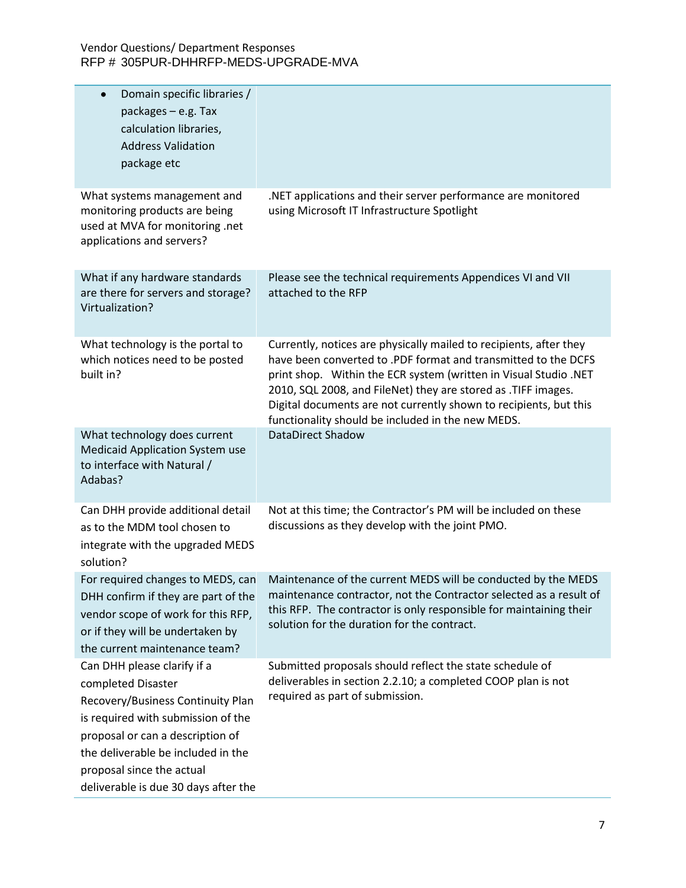| Domain specific libraries /<br>$\bullet$<br>packages $-$ e.g. Tax<br>calculation libraries,<br><b>Address Validation</b><br>package etc                                                                                                                                     |                                                                                                                                                                                                                                                                                                                                                                                                     |
|-----------------------------------------------------------------------------------------------------------------------------------------------------------------------------------------------------------------------------------------------------------------------------|-----------------------------------------------------------------------------------------------------------------------------------------------------------------------------------------------------------------------------------------------------------------------------------------------------------------------------------------------------------------------------------------------------|
| What systems management and<br>monitoring products are being<br>used at MVA for monitoring .net<br>applications and servers?                                                                                                                                                | .NET applications and their server performance are monitored<br>using Microsoft IT Infrastructure Spotlight                                                                                                                                                                                                                                                                                         |
| What if any hardware standards<br>are there for servers and storage?<br>Virtualization?                                                                                                                                                                                     | Please see the technical requirements Appendices VI and VII<br>attached to the RFP                                                                                                                                                                                                                                                                                                                  |
| What technology is the portal to<br>which notices need to be posted<br>built in?                                                                                                                                                                                            | Currently, notices are physically mailed to recipients, after they<br>have been converted to .PDF format and transmitted to the DCFS<br>print shop. Within the ECR system (written in Visual Studio .NET<br>2010, SQL 2008, and FileNet) they are stored as .TIFF images.<br>Digital documents are not currently shown to recipients, but this<br>functionality should be included in the new MEDS. |
| What technology does current<br><b>Medicaid Application System use</b><br>to interface with Natural /<br>Adabas?                                                                                                                                                            | <b>DataDirect Shadow</b>                                                                                                                                                                                                                                                                                                                                                                            |
| Can DHH provide additional detail<br>as to the MDM tool chosen to<br>integrate with the upgraded MEDS<br>solution?                                                                                                                                                          | Not at this time; the Contractor's PM will be included on these<br>discussions as they develop with the joint PMO.                                                                                                                                                                                                                                                                                  |
| For required changes to MEDS, can<br>DHH confirm if they are part of the<br>vendor scope of work for this RFP,<br>or if they will be undertaken by<br>the current maintenance team?                                                                                         | Maintenance of the current MEDS will be conducted by the MEDS<br>maintenance contractor, not the Contractor selected as a result of<br>this RFP. The contractor is only responsible for maintaining their<br>solution for the duration for the contract.                                                                                                                                            |
| Can DHH please clarify if a<br>completed Disaster<br>Recovery/Business Continuity Plan<br>is required with submission of the<br>proposal or can a description of<br>the deliverable be included in the<br>proposal since the actual<br>deliverable is due 30 days after the | Submitted proposals should reflect the state schedule of<br>deliverables in section 2.2.10; a completed COOP plan is not<br>required as part of submission.                                                                                                                                                                                                                                         |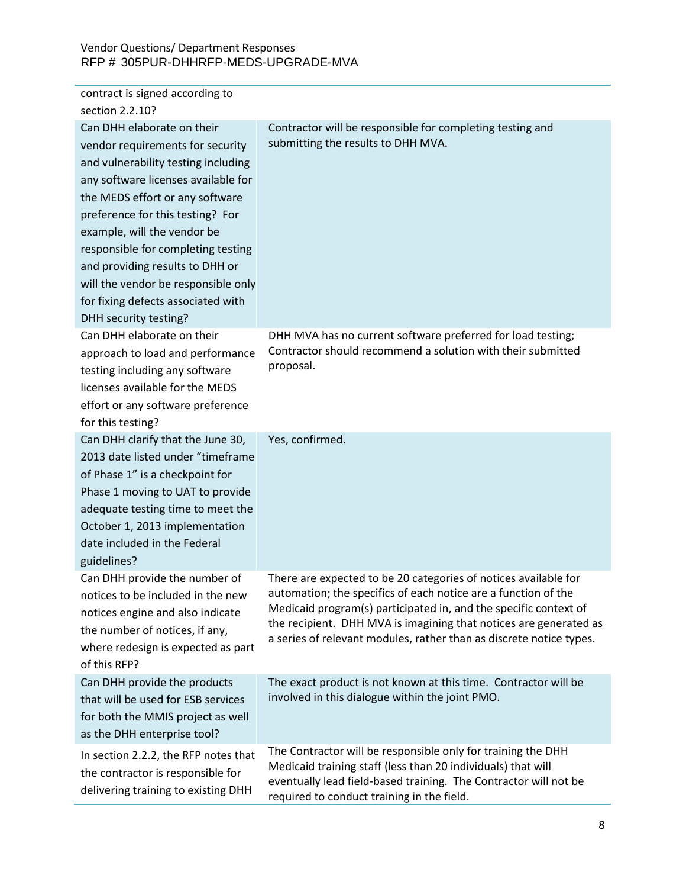| contract is signed according to<br>section 2.2.10?                                                                                                                                                                                                                                                                                                                                                                                |                                                                                                                                                                                                                                                                                                                                                   |
|-----------------------------------------------------------------------------------------------------------------------------------------------------------------------------------------------------------------------------------------------------------------------------------------------------------------------------------------------------------------------------------------------------------------------------------|---------------------------------------------------------------------------------------------------------------------------------------------------------------------------------------------------------------------------------------------------------------------------------------------------------------------------------------------------|
| Can DHH elaborate on their<br>vendor requirements for security<br>and vulnerability testing including<br>any software licenses available for<br>the MEDS effort or any software<br>preference for this testing? For<br>example, will the vendor be<br>responsible for completing testing<br>and providing results to DHH or<br>will the vendor be responsible only<br>for fixing defects associated with<br>DHH security testing? | Contractor will be responsible for completing testing and<br>submitting the results to DHH MVA.                                                                                                                                                                                                                                                   |
| Can DHH elaborate on their<br>approach to load and performance<br>testing including any software<br>licenses available for the MEDS<br>effort or any software preference<br>for this testing?                                                                                                                                                                                                                                     | DHH MVA has no current software preferred for load testing;<br>Contractor should recommend a solution with their submitted<br>proposal.                                                                                                                                                                                                           |
| Can DHH clarify that the June 30,<br>2013 date listed under "timeframe<br>of Phase 1" is a checkpoint for<br>Phase 1 moving to UAT to provide<br>adequate testing time to meet the<br>October 1, 2013 implementation<br>date included in the Federal<br>guidelines?                                                                                                                                                               | Yes, confirmed.                                                                                                                                                                                                                                                                                                                                   |
| Can DHH provide the number of<br>notices to be included in the new<br>notices engine and also indicate<br>the number of notices, if any,<br>where redesign is expected as part<br>of this RFP?                                                                                                                                                                                                                                    | There are expected to be 20 categories of notices available for<br>automation; the specifics of each notice are a function of the<br>Medicaid program(s) participated in, and the specific context of<br>the recipient. DHH MVA is imagining that notices are generated as<br>a series of relevant modules, rather than as discrete notice types. |
| Can DHH provide the products<br>that will be used for ESB services<br>for both the MMIS project as well<br>as the DHH enterprise tool?                                                                                                                                                                                                                                                                                            | The exact product is not known at this time. Contractor will be<br>involved in this dialogue within the joint PMO.                                                                                                                                                                                                                                |
| In section 2.2.2, the RFP notes that<br>the contractor is responsible for<br>delivering training to existing DHH                                                                                                                                                                                                                                                                                                                  | The Contractor will be responsible only for training the DHH<br>Medicaid training staff (less than 20 individuals) that will<br>eventually lead field-based training. The Contractor will not be<br>required to conduct training in the field.                                                                                                    |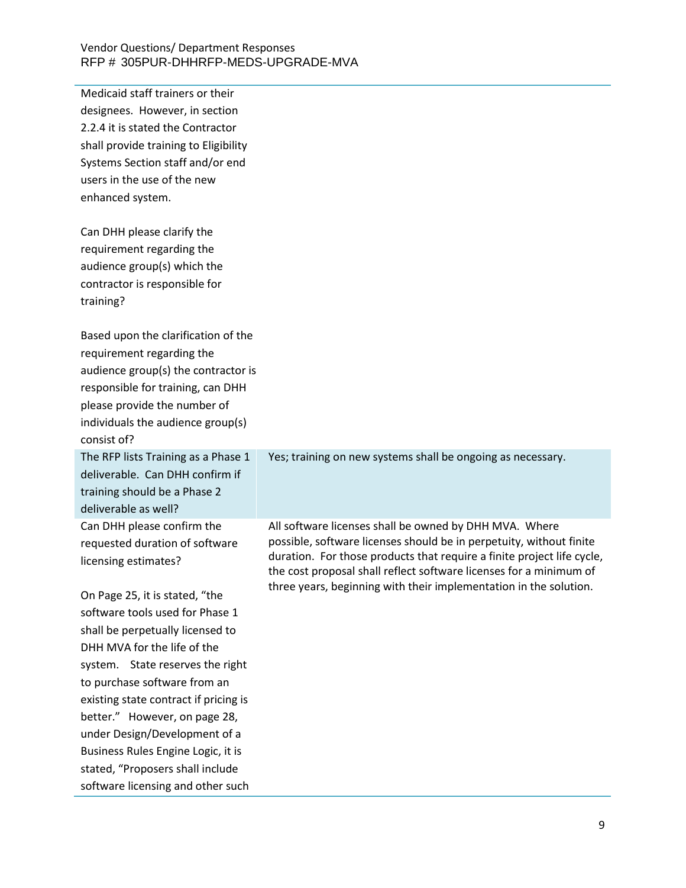| Medicaid staff trainers or their<br>designees. However, in section<br>2.2.4 it is stated the Contractor<br>shall provide training to Eligibility<br>Systems Section staff and/or end<br>users in the use of the new<br>enhanced system.                                                                                                                                                                                            |                                                                                                                                                                                                                                                                                                                                                    |
|------------------------------------------------------------------------------------------------------------------------------------------------------------------------------------------------------------------------------------------------------------------------------------------------------------------------------------------------------------------------------------------------------------------------------------|----------------------------------------------------------------------------------------------------------------------------------------------------------------------------------------------------------------------------------------------------------------------------------------------------------------------------------------------------|
| Can DHH please clarify the<br>requirement regarding the<br>audience group(s) which the<br>contractor is responsible for<br>training?                                                                                                                                                                                                                                                                                               |                                                                                                                                                                                                                                                                                                                                                    |
| Based upon the clarification of the<br>requirement regarding the<br>audience group(s) the contractor is<br>responsible for training, can DHH<br>please provide the number of<br>individuals the audience group(s)<br>consist of?                                                                                                                                                                                                   |                                                                                                                                                                                                                                                                                                                                                    |
| The RFP lists Training as a Phase 1<br>deliverable. Can DHH confirm if<br>training should be a Phase 2<br>deliverable as well?                                                                                                                                                                                                                                                                                                     | Yes; training on new systems shall be ongoing as necessary.                                                                                                                                                                                                                                                                                        |
| Can DHH please confirm the<br>requested duration of software<br>licensing estimates?                                                                                                                                                                                                                                                                                                                                               | All software licenses shall be owned by DHH MVA. Where<br>possible, software licenses should be in perpetuity, without finite<br>duration. For those products that require a finite project life cycle,<br>the cost proposal shall reflect software licenses for a minimum of<br>three years, beginning with their implementation in the solution. |
| On Page 25, it is stated, "the<br>software tools used for Phase 1<br>shall be perpetually licensed to<br>DHH MVA for the life of the<br>system. State reserves the right<br>to purchase software from an<br>existing state contract if pricing is<br>better." However, on page 28,<br>under Design/Development of a<br>Business Rules Engine Logic, it is<br>stated, "Proposers shall include<br>software licensing and other such |                                                                                                                                                                                                                                                                                                                                                    |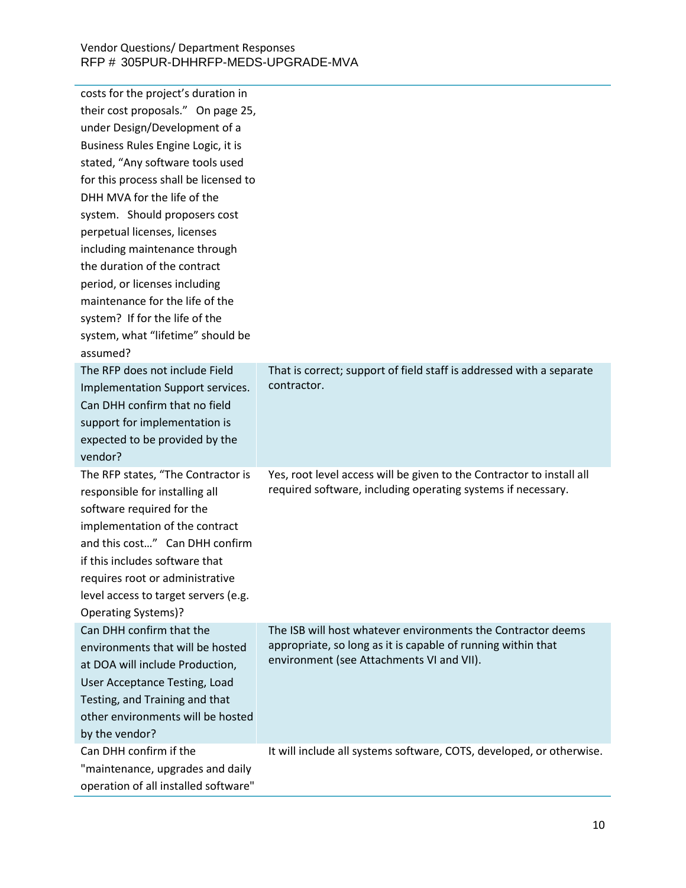| costs for the project's duration in<br>their cost proposals." On page 25,<br>under Design/Development of a<br>Business Rules Engine Logic, it is<br>stated, "Any software tools used<br>for this process shall be licensed to<br>DHH MVA for the life of the<br>system. Should proposers cost<br>perpetual licenses, licenses<br>including maintenance through<br>the duration of the contract<br>period, or licenses including<br>maintenance for the life of the<br>system? If for the life of the<br>system, what "lifetime" should be<br>assumed? |                                                                                                                                                                           |
|-------------------------------------------------------------------------------------------------------------------------------------------------------------------------------------------------------------------------------------------------------------------------------------------------------------------------------------------------------------------------------------------------------------------------------------------------------------------------------------------------------------------------------------------------------|---------------------------------------------------------------------------------------------------------------------------------------------------------------------------|
| The RFP does not include Field<br>Implementation Support services.<br>Can DHH confirm that no field<br>support for implementation is<br>expected to be provided by the<br>vendor?                                                                                                                                                                                                                                                                                                                                                                     | That is correct; support of field staff is addressed with a separate<br>contractor.                                                                                       |
| The RFP states, "The Contractor is<br>responsible for installing all<br>software required for the<br>implementation of the contract<br>and this cost" Can DHH confirm<br>if this includes software that<br>requires root or administrative<br>level access to target servers (e.g.<br>Operating Systems)?                                                                                                                                                                                                                                             | Yes, root level access will be given to the Contractor to install all<br>required software, including operating systems if necessary.                                     |
| Can DHH confirm that the<br>environments that will be hosted<br>at DOA will include Production,<br>User Acceptance Testing, Load<br>Testing, and Training and that<br>other environments will be hosted<br>by the vendor?                                                                                                                                                                                                                                                                                                                             | The ISB will host whatever environments the Contractor deems<br>appropriate, so long as it is capable of running within that<br>environment (see Attachments VI and VII). |
| Can DHH confirm if the<br>"maintenance, upgrades and daily<br>operation of all installed software"                                                                                                                                                                                                                                                                                                                                                                                                                                                    | It will include all systems software, COTS, developed, or otherwise.                                                                                                      |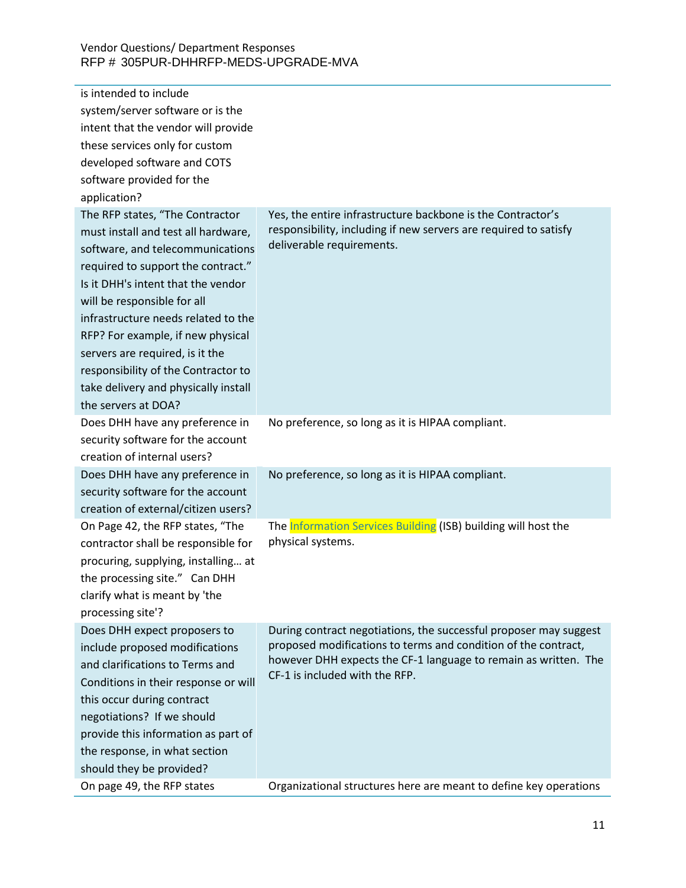| is intended to include               |                                                                                                                                   |
|--------------------------------------|-----------------------------------------------------------------------------------------------------------------------------------|
| system/server software or is the     |                                                                                                                                   |
| intent that the vendor will provide  |                                                                                                                                   |
| these services only for custom       |                                                                                                                                   |
| developed software and COTS          |                                                                                                                                   |
| software provided for the            |                                                                                                                                   |
| application?                         |                                                                                                                                   |
| The RFP states, "The Contractor      | Yes, the entire infrastructure backbone is the Contractor's                                                                       |
| must install and test all hardware,  | responsibility, including if new servers are required to satisfy                                                                  |
| software, and telecommunications     | deliverable requirements.                                                                                                         |
| required to support the contract."   |                                                                                                                                   |
| Is it DHH's intent that the vendor   |                                                                                                                                   |
| will be responsible for all          |                                                                                                                                   |
| infrastructure needs related to the  |                                                                                                                                   |
| RFP? For example, if new physical    |                                                                                                                                   |
| servers are required, is it the      |                                                                                                                                   |
| responsibility of the Contractor to  |                                                                                                                                   |
| take delivery and physically install |                                                                                                                                   |
| the servers at DOA?                  |                                                                                                                                   |
| Does DHH have any preference in      | No preference, so long as it is HIPAA compliant.                                                                                  |
| security software for the account    |                                                                                                                                   |
| creation of internal users?          |                                                                                                                                   |
| Does DHH have any preference in      | No preference, so long as it is HIPAA compliant.                                                                                  |
| security software for the account    |                                                                                                                                   |
| creation of external/citizen users?  |                                                                                                                                   |
| On Page 42, the RFP states, "The     | The Information Services Building (ISB) building will host the                                                                    |
| contractor shall be responsible for  | physical systems.                                                                                                                 |
| procuring, supplying, installing at  |                                                                                                                                   |
| the processing site." Can DHH        |                                                                                                                                   |
| clarify what is meant by 'the        |                                                                                                                                   |
| processing site'?                    |                                                                                                                                   |
| Does DHH expect proposers to         | During contract negotiations, the successful proposer may suggest                                                                 |
| include proposed modifications       | proposed modifications to terms and condition of the contract,<br>however DHH expects the CF-1 language to remain as written. The |
| and clarifications to Terms and      | CF-1 is included with the RFP.                                                                                                    |
| Conditions in their response or will |                                                                                                                                   |
| this occur during contract           |                                                                                                                                   |
| negotiations? If we should           |                                                                                                                                   |
| provide this information as part of  |                                                                                                                                   |
| the response, in what section        |                                                                                                                                   |
| should they be provided?             |                                                                                                                                   |
| On page 49, the RFP states           | Organizational structures here are meant to define key operations                                                                 |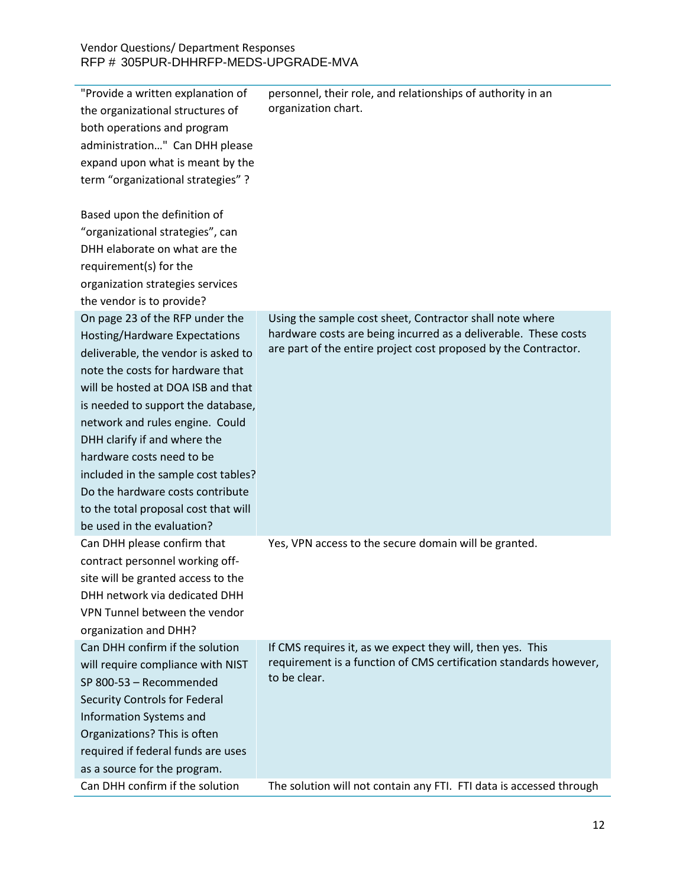| "Provide a written explanation of<br>the organizational structures of<br>both operations and program<br>administration" Can DHH please<br>expand upon what is meant by the<br>term "organizational strategies" ?                                                                                                                                                                                                                                                         | personnel, their role, and relationships of authority in an<br>organization chart.                                                                                                             |
|--------------------------------------------------------------------------------------------------------------------------------------------------------------------------------------------------------------------------------------------------------------------------------------------------------------------------------------------------------------------------------------------------------------------------------------------------------------------------|------------------------------------------------------------------------------------------------------------------------------------------------------------------------------------------------|
| Based upon the definition of<br>"organizational strategies", can<br>DHH elaborate on what are the<br>requirement(s) for the<br>organization strategies services                                                                                                                                                                                                                                                                                                          |                                                                                                                                                                                                |
| the vendor is to provide?                                                                                                                                                                                                                                                                                                                                                                                                                                                |                                                                                                                                                                                                |
| On page 23 of the RFP under the<br>Hosting/Hardware Expectations<br>deliverable, the vendor is asked to<br>note the costs for hardware that<br>will be hosted at DOA ISB and that<br>is needed to support the database,<br>network and rules engine. Could<br>DHH clarify if and where the<br>hardware costs need to be<br>included in the sample cost tables?<br>Do the hardware costs contribute<br>to the total proposal cost that will<br>be used in the evaluation? | Using the sample cost sheet, Contractor shall note where<br>hardware costs are being incurred as a deliverable. These costs<br>are part of the entire project cost proposed by the Contractor. |
| Can DHH please confirm that<br>contract personnel working off-<br>site will be granted access to the<br>DHH network via dedicated DHH<br>VPN Tunnel between the vendor<br>organization and DHH?                                                                                                                                                                                                                                                                          | Yes, VPN access to the secure domain will be granted.                                                                                                                                          |
| Can DHH confirm if the solution<br>will require compliance with NIST<br>SP 800-53 - Recommended<br>Security Controls for Federal<br>Information Systems and<br>Organizations? This is often<br>required if federal funds are uses<br>as a source for the program.                                                                                                                                                                                                        | If CMS requires it, as we expect they will, then yes. This<br>requirement is a function of CMS certification standards however,<br>to be clear.                                                |
| Can DHH confirm if the solution                                                                                                                                                                                                                                                                                                                                                                                                                                          | The solution will not contain any FTI. FTI data is accessed through                                                                                                                            |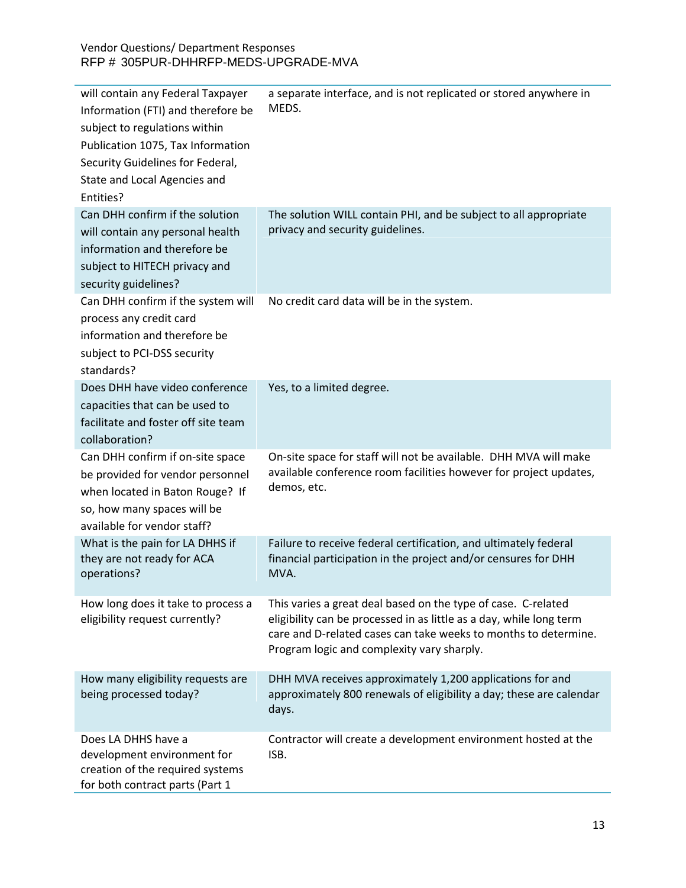| will contain any Federal Taxpayer<br>Information (FTI) and therefore be<br>subject to regulations within<br>Publication 1075, Tax Information<br>Security Guidelines for Federal,<br>State and Local Agencies and<br>Entities? | a separate interface, and is not replicated or stored anywhere in<br>MEDS.                                                                                                                                                                            |
|--------------------------------------------------------------------------------------------------------------------------------------------------------------------------------------------------------------------------------|-------------------------------------------------------------------------------------------------------------------------------------------------------------------------------------------------------------------------------------------------------|
| Can DHH confirm if the solution<br>will contain any personal health<br>information and therefore be<br>subject to HITECH privacy and<br>security guidelines?                                                                   | The solution WILL contain PHI, and be subject to all appropriate<br>privacy and security guidelines.                                                                                                                                                  |
| Can DHH confirm if the system will<br>process any credit card<br>information and therefore be<br>subject to PCI-DSS security<br>standards?                                                                                     | No credit card data will be in the system.                                                                                                                                                                                                            |
| Does DHH have video conference<br>capacities that can be used to<br>facilitate and foster off site team<br>collaboration?                                                                                                      | Yes, to a limited degree.                                                                                                                                                                                                                             |
| Can DHH confirm if on-site space<br>be provided for vendor personnel<br>when located in Baton Rouge? If<br>so, how many spaces will be<br>available for vendor staff?                                                          | On-site space for staff will not be available. DHH MVA will make<br>available conference room facilities however for project updates,<br>demos, etc.                                                                                                  |
| What is the pain for LA DHHS if<br>they are not ready for ACA<br>operations?                                                                                                                                                   | Failure to receive federal certification, and ultimately federal<br>financial participation in the project and/or censures for DHH<br>MVA.                                                                                                            |
| How long does it take to process a<br>eligibility request currently?                                                                                                                                                           | This varies a great deal based on the type of case. C-related<br>eligibility can be processed in as little as a day, while long term<br>care and D-related cases can take weeks to months to determine.<br>Program logic and complexity vary sharply. |
| How many eligibility requests are<br>being processed today?                                                                                                                                                                    | DHH MVA receives approximately 1,200 applications for and<br>approximately 800 renewals of eligibility a day; these are calendar<br>days.                                                                                                             |
| Does LA DHHS have a<br>development environment for<br>creation of the required systems<br>for both contract parts (Part 1                                                                                                      | Contractor will create a development environment hosted at the<br>ISB.                                                                                                                                                                                |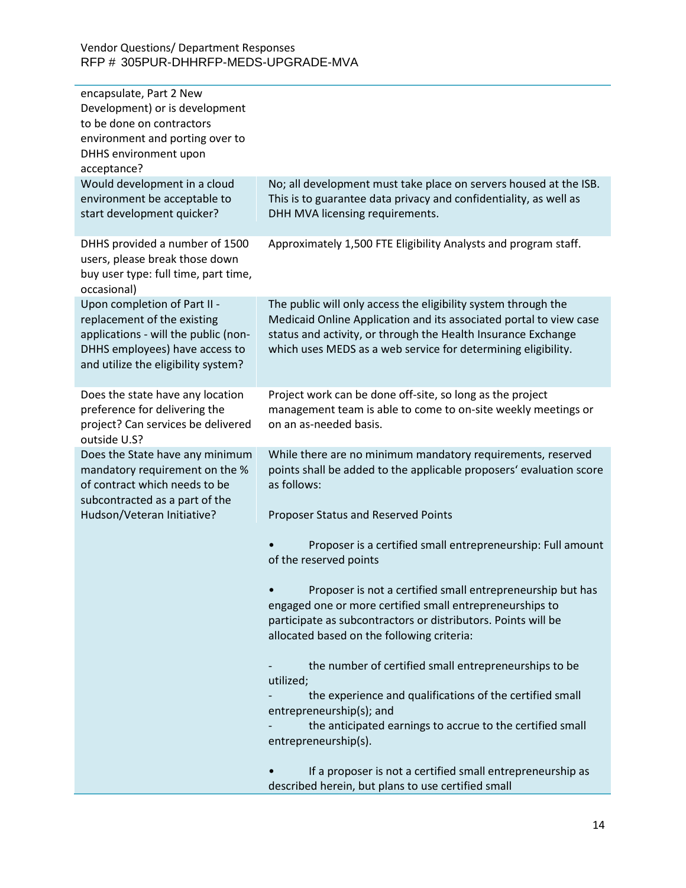| encapsulate, Part 2 New<br>Development) or is development<br>to be done on contractors<br>environment and porting over to<br>DHHS environment upon<br>acceptance?            |                                                                                                                                                                                                                                                                        |
|------------------------------------------------------------------------------------------------------------------------------------------------------------------------------|------------------------------------------------------------------------------------------------------------------------------------------------------------------------------------------------------------------------------------------------------------------------|
| Would development in a cloud<br>environment be acceptable to<br>start development quicker?                                                                                   | No; all development must take place on servers housed at the ISB.<br>This is to guarantee data privacy and confidentiality, as well as<br>DHH MVA licensing requirements.                                                                                              |
| DHHS provided a number of 1500<br>users, please break those down<br>buy user type: full time, part time,<br>occasional)                                                      | Approximately 1,500 FTE Eligibility Analysts and program staff.                                                                                                                                                                                                        |
| Upon completion of Part II -<br>replacement of the existing<br>applications - will the public (non-<br>DHHS employees) have access to<br>and utilize the eligibility system? | The public will only access the eligibility system through the<br>Medicaid Online Application and its associated portal to view case<br>status and activity, or through the Health Insurance Exchange<br>which uses MEDS as a web service for determining eligibility. |
| Does the state have any location<br>preference for delivering the<br>project? Can services be delivered<br>outside U.S?                                                      | Project work can be done off-site, so long as the project<br>management team is able to come to on-site weekly meetings or<br>on an as-needed basis.                                                                                                                   |
| Does the State have any minimum<br>mandatory requirement on the %<br>of contract which needs to be<br>subcontracted as a part of the<br>Hudson/Veteran Initiative?           | While there are no minimum mandatory requirements, reserved<br>points shall be added to the applicable proposers' evaluation score<br>as follows:<br>Proposer Status and Reserved Points                                                                               |
|                                                                                                                                                                              | Proposer is a certified small entrepreneurship: Full amount<br>of the reserved points                                                                                                                                                                                  |
|                                                                                                                                                                              | Proposer is not a certified small entrepreneurship but has<br>engaged one or more certified small entrepreneurships to<br>participate as subcontractors or distributors. Points will be<br>allocated based on the following criteria:                                  |
|                                                                                                                                                                              | the number of certified small entrepreneurships to be<br>utilized;                                                                                                                                                                                                     |
|                                                                                                                                                                              | the experience and qualifications of the certified small<br>entrepreneurship(s); and                                                                                                                                                                                   |
|                                                                                                                                                                              | the anticipated earnings to accrue to the certified small<br>entrepreneurship(s).                                                                                                                                                                                      |
|                                                                                                                                                                              | If a proposer is not a certified small entrepreneurship as<br>described herein, but plans to use certified small                                                                                                                                                       |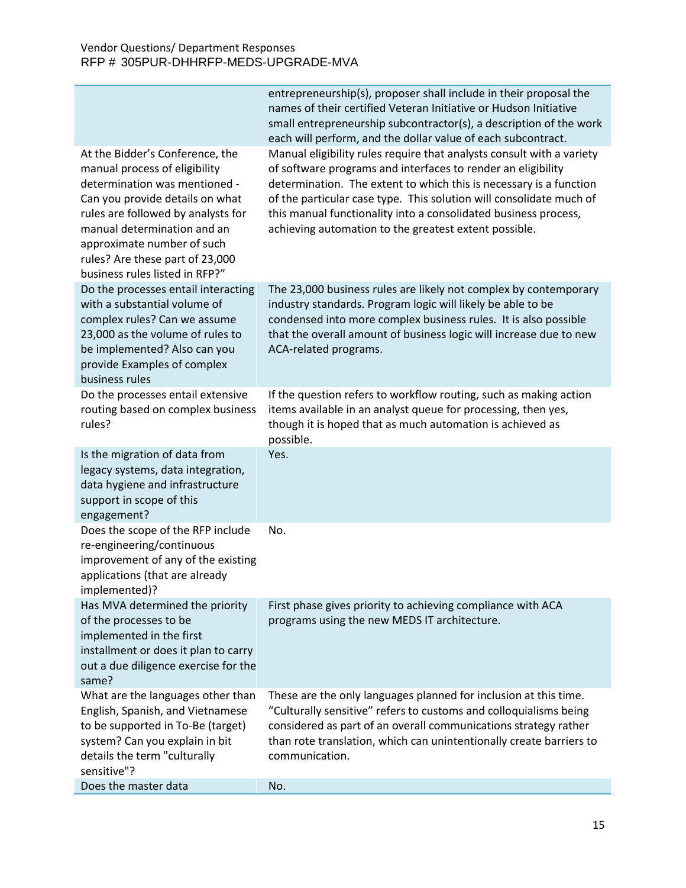| At the Bidder's Conference, the                                                                                                                                                                                                                                           | entrepreneurship(s), proposer shall include in their proposal the<br>names of their certified Veteran Initiative or Hudson Initiative<br>small entrepreneurship subcontractor(s), a description of the work<br>each will perform, and the dollar value of each subcontract.<br>Manual eligibility rules require that analysts consult with a variety |
|---------------------------------------------------------------------------------------------------------------------------------------------------------------------------------------------------------------------------------------------------------------------------|------------------------------------------------------------------------------------------------------------------------------------------------------------------------------------------------------------------------------------------------------------------------------------------------------------------------------------------------------|
| manual process of eligibility<br>determination was mentioned -<br>Can you provide details on what<br>rules are followed by analysts for<br>manual determination and an<br>approximate number of such<br>rules? Are these part of 23,000<br>business rules listed in RFP?" | of software programs and interfaces to render an eligibility<br>determination. The extent to which this is necessary is a function<br>of the particular case type. This solution will consolidate much of<br>this manual functionality into a consolidated business process,<br>achieving automation to the greatest extent possible.                |
| Do the processes entail interacting<br>with a substantial volume of<br>complex rules? Can we assume<br>23,000 as the volume of rules to<br>be implemented? Also can you<br>provide Examples of complex<br>business rules                                                  | The 23,000 business rules are likely not complex by contemporary<br>industry standards. Program logic will likely be able to be<br>condensed into more complex business rules. It is also possible<br>that the overall amount of business logic will increase due to new<br>ACA-related programs.                                                    |
| Do the processes entail extensive<br>routing based on complex business<br>rules?                                                                                                                                                                                          | If the question refers to workflow routing, such as making action<br>items available in an analyst queue for processing, then yes,<br>though it is hoped that as much automation is achieved as<br>possible.                                                                                                                                         |
| Is the migration of data from<br>legacy systems, data integration,<br>data hygiene and infrastructure<br>support in scope of this<br>engagement?                                                                                                                          | Yes.                                                                                                                                                                                                                                                                                                                                                 |
| Does the scope of the RFP include<br>re-engineering/continuous<br>improvement of any of the existing<br>applications (that are already<br>implemented)?                                                                                                                   | No.                                                                                                                                                                                                                                                                                                                                                  |
| Has MVA determined the priority<br>of the processes to be<br>implemented in the first<br>installment or does it plan to carry<br>out a due diligence exercise for the<br>same?                                                                                            | First phase gives priority to achieving compliance with ACA<br>programs using the new MEDS IT architecture.                                                                                                                                                                                                                                          |
| What are the languages other than<br>English, Spanish, and Vietnamese<br>to be supported in To-Be (target)<br>system? Can you explain in bit<br>details the term "culturally<br>sensitive"?                                                                               | These are the only languages planned for inclusion at this time.<br>"Culturally sensitive" refers to customs and colloquialisms being<br>considered as part of an overall communications strategy rather<br>than rote translation, which can unintentionally create barriers to<br>communication.                                                    |
| Does the master data                                                                                                                                                                                                                                                      | No.                                                                                                                                                                                                                                                                                                                                                  |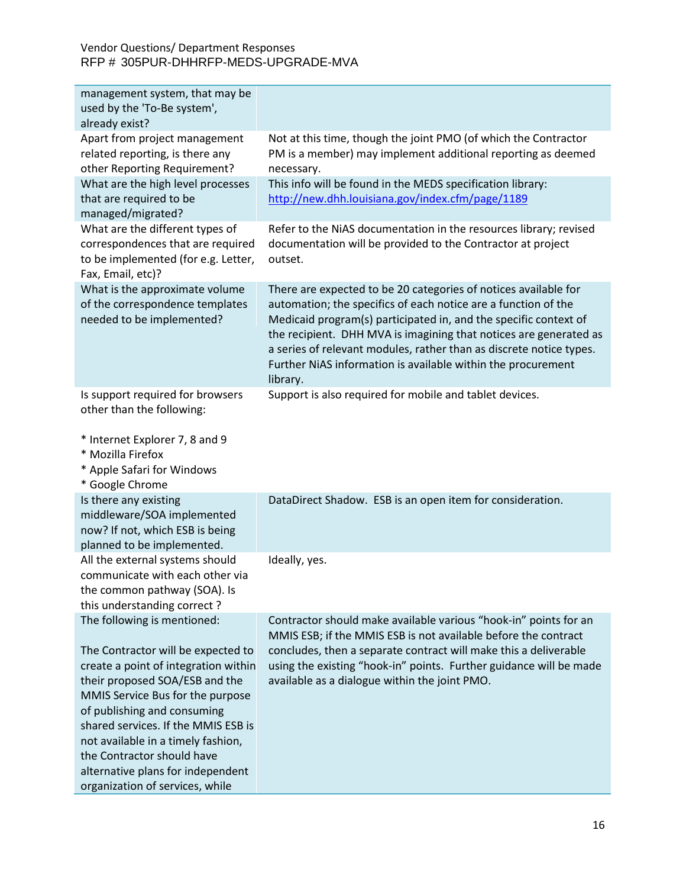| management system, that may be<br>used by the 'To-Be system', |                                                                     |
|---------------------------------------------------------------|---------------------------------------------------------------------|
| already exist?                                                |                                                                     |
| Apart from project management                                 | Not at this time, though the joint PMO (of which the Contractor     |
| related reporting, is there any                               | PM is a member) may implement additional reporting as deemed        |
| other Reporting Requirement?                                  | necessary.                                                          |
| What are the high level processes                             | This info will be found in the MEDS specification library:          |
| that are required to be                                       | http://new.dhh.louisiana.gov/index.cfm/page/1189                    |
| managed/migrated?                                             |                                                                     |
| What are the different types of                               | Refer to the NiAS documentation in the resources library; revised   |
| correspondences that are required                             | documentation will be provided to the Contractor at project         |
| to be implemented (for e.g. Letter,                           | outset.                                                             |
| Fax, Email, etc)?                                             |                                                                     |
| What is the approximate volume                                | There are expected to be 20 categories of notices available for     |
| of the correspondence templates                               | automation; the specifics of each notice are a function of the      |
| needed to be implemented?                                     | Medicaid program(s) participated in, and the specific context of    |
|                                                               | the recipient. DHH MVA is imagining that notices are generated as   |
|                                                               | a series of relevant modules, rather than as discrete notice types. |
|                                                               | Further NiAS information is available within the procurement        |
|                                                               | library.                                                            |
| Is support required for browsers                              | Support is also required for mobile and tablet devices.             |
| other than the following:                                     |                                                                     |
|                                                               |                                                                     |
| * Internet Explorer 7, 8 and 9                                |                                                                     |
| * Mozilla Firefox                                             |                                                                     |
| * Apple Safari for Windows                                    |                                                                     |
| * Google Chrome                                               |                                                                     |
| Is there any existing                                         | DataDirect Shadow. ESB is an open item for consideration.           |
| middleware/SOA implemented                                    |                                                                     |
| now? If not, which ESB is being                               |                                                                     |
| planned to be implemented.                                    |                                                                     |
| All the external systems should                               | Ideally, yes.                                                       |
| communicate with each other via                               |                                                                     |
| the common pathway (SOA). Is                                  |                                                                     |
| this understanding correct?                                   |                                                                     |
| The following is mentioned:                                   | Contractor should make available various "hook-in" points for an    |
|                                                               | MMIS ESB; if the MMIS ESB is not available before the contract      |
| The Contractor will be expected to                            | concludes, then a separate contract will make this a deliverable    |
| create a point of integration within                          | using the existing "hook-in" points. Further guidance will be made  |
| their proposed SOA/ESB and the                                | available as a dialogue within the joint PMO.                       |
| MMIS Service Bus for the purpose                              |                                                                     |
| of publishing and consuming                                   |                                                                     |
| shared services. If the MMIS ESB is                           |                                                                     |
| not available in a timely fashion,                            |                                                                     |
| the Contractor should have                                    |                                                                     |
| alternative plans for independent                             |                                                                     |
| organization of services, while                               |                                                                     |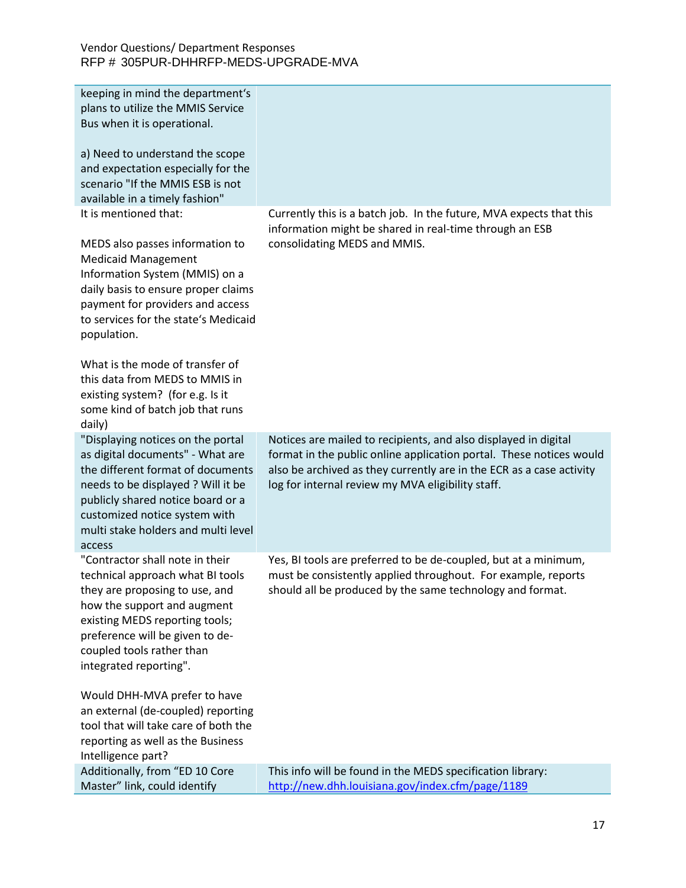| keeping in mind the department's<br>plans to utilize the MMIS Service<br>Bus when it is operational.<br>a) Need to understand the scope<br>and expectation especially for the<br>scenario "If the MMIS ESB is not<br>available in a timely fashion"                                                                                                                                                               |                                                                                                                                                                                                                                                                     |
|-------------------------------------------------------------------------------------------------------------------------------------------------------------------------------------------------------------------------------------------------------------------------------------------------------------------------------------------------------------------------------------------------------------------|---------------------------------------------------------------------------------------------------------------------------------------------------------------------------------------------------------------------------------------------------------------------|
| It is mentioned that:<br>MEDS also passes information to<br><b>Medicaid Management</b><br>Information System (MMIS) on a<br>daily basis to ensure proper claims<br>payment for providers and access<br>to services for the state's Medicaid<br>population.<br>What is the mode of transfer of<br>this data from MEDS to MMIS in<br>existing system? (for e.g. Is it<br>some kind of batch job that runs<br>daily) | Currently this is a batch job. In the future, MVA expects that this<br>information might be shared in real-time through an ESB<br>consolidating MEDS and MMIS.                                                                                                      |
| "Displaying notices on the portal<br>as digital documents" - What are<br>the different format of documents<br>needs to be displayed ? Will it be<br>publicly shared notice board or a<br>customized notice system with<br>multi stake holders and multi level<br>access                                                                                                                                           | Notices are mailed to recipients, and also displayed in digital<br>format in the public online application portal. These notices would<br>also be archived as they currently are in the ECR as a case activity<br>log for internal review my MVA eligibility staff. |
| "Contractor shall note in their<br>technical approach what BI tools<br>they are proposing to use, and<br>how the support and augment<br>existing MEDS reporting tools;<br>preference will be given to de-<br>coupled tools rather than<br>integrated reporting".                                                                                                                                                  | Yes, BI tools are preferred to be de-coupled, but at a minimum,<br>must be consistently applied throughout. For example, reports<br>should all be produced by the same technology and format.                                                                       |
| Would DHH-MVA prefer to have<br>an external (de-coupled) reporting<br>tool that will take care of both the<br>reporting as well as the Business<br>Intelligence part?                                                                                                                                                                                                                                             |                                                                                                                                                                                                                                                                     |
| Additionally, from "ED 10 Core<br>Master" link, could identify                                                                                                                                                                                                                                                                                                                                                    | This info will be found in the MEDS specification library:<br>http://new.dhh.louisiana.gov/index.cfm/page/1189                                                                                                                                                      |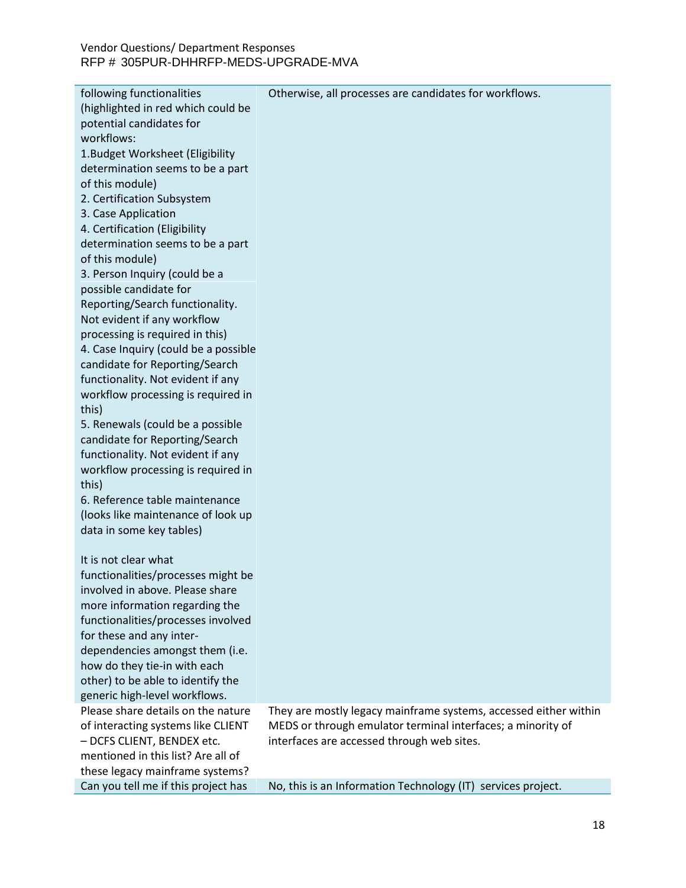| following functionalities            | Otherwise, all processes are candidates for workflows.           |
|--------------------------------------|------------------------------------------------------------------|
| (highlighted in red which could be   |                                                                  |
| potential candidates for             |                                                                  |
| workflows:                           |                                                                  |
| 1. Budget Worksheet (Eligibility     |                                                                  |
| determination seems to be a part     |                                                                  |
| of this module)                      |                                                                  |
| 2. Certification Subsystem           |                                                                  |
| 3. Case Application                  |                                                                  |
| 4. Certification (Eligibility        |                                                                  |
| determination seems to be a part     |                                                                  |
| of this module)                      |                                                                  |
| 3. Person Inquiry (could be a        |                                                                  |
| possible candidate for               |                                                                  |
| Reporting/Search functionality.      |                                                                  |
| Not evident if any workflow          |                                                                  |
| processing is required in this)      |                                                                  |
| 4. Case Inquiry (could be a possible |                                                                  |
| candidate for Reporting/Search       |                                                                  |
| functionality. Not evident if any    |                                                                  |
| workflow processing is required in   |                                                                  |
| this)                                |                                                                  |
| 5. Renewals (could be a possible     |                                                                  |
| candidate for Reporting/Search       |                                                                  |
| functionality. Not evident if any    |                                                                  |
| workflow processing is required in   |                                                                  |
| this)                                |                                                                  |
| 6. Reference table maintenance       |                                                                  |
| (looks like maintenance of look up   |                                                                  |
| data in some key tables)             |                                                                  |
| It is not clear what                 |                                                                  |
| functionalities/processes might be   |                                                                  |
| involved in above. Please share      |                                                                  |
| more information regarding the       |                                                                  |
| functionalities/processes involved   |                                                                  |
| for these and any inter-             |                                                                  |
| dependencies amongst them (i.e.      |                                                                  |
| how do they tie-in with each         |                                                                  |
| other) to be able to identify the    |                                                                  |
| generic high-level workflows.        |                                                                  |
| Please share details on the nature   | They are mostly legacy mainframe systems, accessed either within |
| of interacting systems like CLIENT   | MEDS or through emulator terminal interfaces; a minority of      |
| - DCFS CLIENT, BENDEX etc.           | interfaces are accessed through web sites.                       |
| mentioned in this list? Are all of   |                                                                  |
| these legacy mainframe systems?      |                                                                  |
| Can you tell me if this project has  | No, this is an Information Technology (IT) services project.     |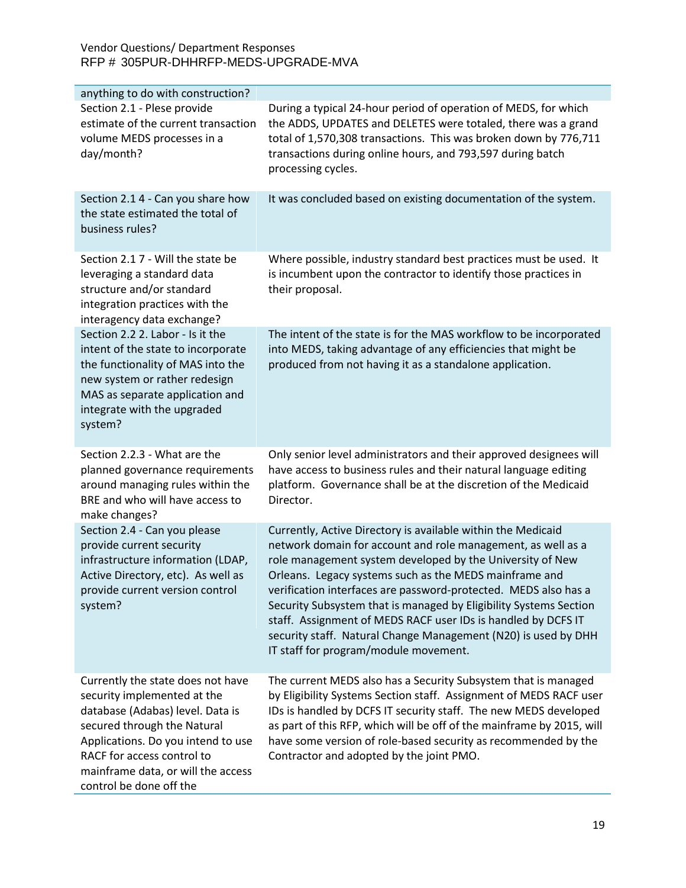| anything to do with construction?                                                                                                                                                                                                                                        |                                                                                                                                                                                                                                                                                                                                                                                                                                                                                                                                                                         |
|--------------------------------------------------------------------------------------------------------------------------------------------------------------------------------------------------------------------------------------------------------------------------|-------------------------------------------------------------------------------------------------------------------------------------------------------------------------------------------------------------------------------------------------------------------------------------------------------------------------------------------------------------------------------------------------------------------------------------------------------------------------------------------------------------------------------------------------------------------------|
| Section 2.1 - Plese provide<br>estimate of the current transaction<br>volume MEDS processes in a<br>day/month?                                                                                                                                                           | During a typical 24-hour period of operation of MEDS, for which<br>the ADDS, UPDATES and DELETES were totaled, there was a grand<br>total of 1,570,308 transactions. This was broken down by 776,711<br>transactions during online hours, and 793,597 during batch<br>processing cycles.                                                                                                                                                                                                                                                                                |
| Section 2.1 4 - Can you share how<br>the state estimated the total of<br>business rules?                                                                                                                                                                                 | It was concluded based on existing documentation of the system.                                                                                                                                                                                                                                                                                                                                                                                                                                                                                                         |
| Section 2.1 7 - Will the state be<br>leveraging a standard data<br>structure and/or standard<br>integration practices with the<br>interagency data exchange?                                                                                                             | Where possible, industry standard best practices must be used. It<br>is incumbent upon the contractor to identify those practices in<br>their proposal.                                                                                                                                                                                                                                                                                                                                                                                                                 |
| Section 2.2 2. Labor - Is it the<br>intent of the state to incorporate<br>the functionality of MAS into the<br>new system or rather redesign<br>MAS as separate application and<br>integrate with the upgraded<br>system?                                                | The intent of the state is for the MAS workflow to be incorporated<br>into MEDS, taking advantage of any efficiencies that might be<br>produced from not having it as a standalone application.                                                                                                                                                                                                                                                                                                                                                                         |
| Section 2.2.3 - What are the<br>planned governance requirements<br>around managing rules within the<br>BRE and who will have access to<br>make changes?                                                                                                                  | Only senior level administrators and their approved designees will<br>have access to business rules and their natural language editing<br>platform. Governance shall be at the discretion of the Medicaid<br>Director.                                                                                                                                                                                                                                                                                                                                                  |
| Section 2.4 - Can you please<br>provide current security<br>infrastructure information (LDAP,<br>Active Directory, etc). As well as<br>provide current version control<br>system?                                                                                        | Currently, Active Directory is available within the Medicaid<br>network domain for account and role management, as well as a<br>role management system developed by the University of New<br>Orleans. Legacy systems such as the MEDS mainframe and<br>verification interfaces are password-protected. MEDS also has a<br>Security Subsystem that is managed by Eligibility Systems Section<br>staff. Assignment of MEDS RACF user IDs is handled by DCFS IT<br>security staff. Natural Change Management (N20) is used by DHH<br>IT staff for program/module movement. |
| Currently the state does not have<br>security implemented at the<br>database (Adabas) level. Data is<br>secured through the Natural<br>Applications. Do you intend to use<br>RACF for access control to<br>mainframe data, or will the access<br>control be done off the | The current MEDS also has a Security Subsystem that is managed<br>by Eligibility Systems Section staff. Assignment of MEDS RACF user<br>IDs is handled by DCFS IT security staff. The new MEDS developed<br>as part of this RFP, which will be off of the mainframe by 2015, will<br>have some version of role-based security as recommended by the<br>Contractor and adopted by the joint PMO.                                                                                                                                                                         |